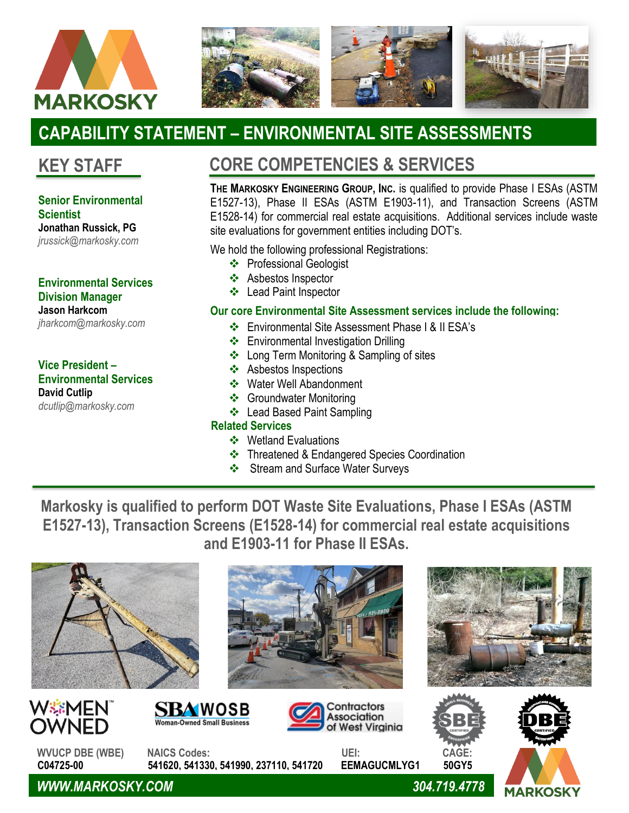



# **CAPABILITY STATEMENT – ENVIRONMENTAL SITE ASSESSMENTS**

## **KEY STAFF**

#### **Senior Environmental Scientist**

**Jonathan Russick, PG** *jrussick@markosky.com*

#### **Environmental Services Division Manager Jason Harkcom**

*jharkcom@markosky.com*

#### **Vice President – Environmental Services David Cutlip** *dcutlip@markosky.com*

## **CORE COMPETENCIES & SERVICES**

**THE MARKOSKY ENGINEERING GROUP, INC.** is qualified to provide Phase I ESAs (ASTM E1527-13), Phase II ESAs (ASTM E1903-11), and Transaction Screens (ASTM E1528-14) for commercial real estate acquisitions. Additional services include waste site evaluations for government entities including DOT's.

We hold the following professional Registrations:

- ❖ Professional Geologist
- ❖ Asbestos Inspector
- ❖ Lead Paint Inspector

### **Our core Environmental Site Assessment services include the following:**

- ❖ Environmental Site Assessment Phase I & II ESA's
- ❖ Environmental Investigation Drilling
- ❖ Long Term Monitoring & Sampling of sites
- ❖ Asbestos Inspections
- ❖ Water Well Abandonment
- ❖ Groundwater Monitoring
- ❖ Lead Based Paint Sampling

### **Related Services**

❖

- ❖ Wetland Evaluations
- ❖ Threatened & Endangered Species Coordination
- ❖ Stream and Surface Water Surveys

**Markosky is qualified to perform DOT Waste Site Evaluations, Phase I ESAs (ASTM E1527-13), Transaction Screens (E1528-14) for commercial real estate acquisitions and E1903-11 for Phase II ESAs.**









WSEMEN

OWNED

**WVUCP DBE (WBE) NAICS Codes: UEI: CAGE: C04725-00 541620, 541330, 541990, 237110, 541720 EEMAGUCMLYG1 50GY5**

**SBAWOSB** 

Woman-Owned Small Business

Contractors

ssociation

of West Virainia

*WWW.MARKOSKY.COM 304.719.4778*